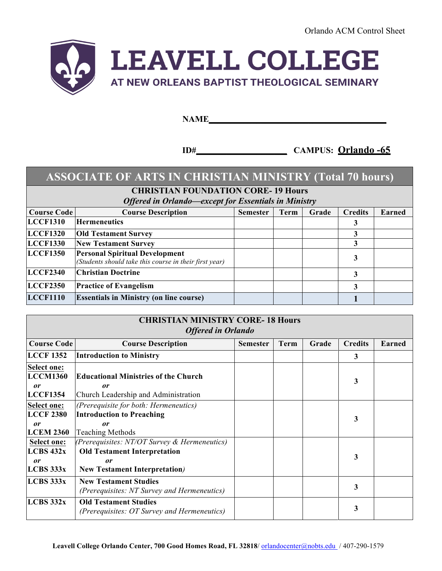Orlando ACM Control Sheet



### **NAME\_\_\_\_\_\_\_\_\_\_\_\_\_\_\_\_\_\_\_\_\_\_\_\_\_\_\_\_\_\_\_\_\_\_\_\_\_\_\_\_\_**

**ID#\_\_\_\_\_\_\_\_\_\_\_\_\_\_\_\_\_\_\_\_\_ CAMPUS: Orlando -65**

# **ASSOCIATE OF ARTS IN CHRISTIAN MINISTRY (Total 70 hours)**

**CHRISTIAN FOUNDATION CORE- 19 Hours**

*Offered in Orlando—except for Essentials in Ministry*

| <b>Course Code</b> | <b>Course Description</b>                                                                       | <b>Semester</b> | Term | Grade | <b>Credits</b> | <b>Earned</b> |
|--------------------|-------------------------------------------------------------------------------------------------|-----------------|------|-------|----------------|---------------|
| <b>LCCF1310</b>    | <b>Hermeneutics</b>                                                                             |                 |      |       |                |               |
| <b>LCCF1320</b>    | <b>Old Testament Survey</b>                                                                     |                 |      |       |                |               |
| <b>LCCF1330</b>    | <b>New Testament Survey</b>                                                                     |                 |      |       |                |               |
| <b>LCCF1350</b>    | <b>Personal Spiritual Development</b><br>(Students should take this course in their first year) |                 |      |       |                |               |
| <b>LCCF2340</b>    | <b>Christian Doctrine</b>                                                                       |                 |      |       |                |               |
| <b>LCCF2350</b>    | <b>Practice of Evangelism</b>                                                                   |                 |      |       |                |               |
| <b>LCCF1110</b>    | <b>Essentials in Ministry (on line course)</b>                                                  |                 |      |       |                |               |

| <b>CHRISTIAN MINISTRY CORE-18 Hours</b><br><b>Offered in Orlando</b> |                                                                                                                                      |                 |      |       |                |               |  |
|----------------------------------------------------------------------|--------------------------------------------------------------------------------------------------------------------------------------|-----------------|------|-------|----------------|---------------|--|
| <b>Course Code</b>                                                   | <b>Course Description</b>                                                                                                            | <b>Semester</b> | Term | Grade | <b>Credits</b> | <b>Earned</b> |  |
| <b>LCCF 1352</b>                                                     | <b>Introduction to Ministry</b>                                                                                                      |                 |      |       | 3              |               |  |
| <b>Select one:</b><br><b>LCCM1360</b><br>or<br><b>LCCF1354</b>       | <b>Educational Ministries of the Church</b><br>or<br>Church Leadership and Administration                                            |                 |      |       | 3              |               |  |
| <b>Select one:</b><br><b>LCCF 2380</b><br>or<br><b>LCEM 2360</b>     | (Prerequisite for both: Hermeneutics)<br><b>Introduction to Preaching</b><br>or<br><b>Teaching Methods</b>                           |                 |      |       | 3              |               |  |
| <b>Select one:</b><br>LCBS 432x<br>or<br>LCBS 333x                   | (Prerequisites: $NT/OT$ Survey & Hermeneutics)<br><b>Old Testament Interpretation</b><br>or<br><b>New Testament Interpretation</b> ) |                 |      |       | 3              |               |  |
| LCBS 333x                                                            | <b>New Testament Studies</b><br>(Prerequisites: NT Survey and Hermeneutics)                                                          |                 |      |       | 3              |               |  |
| LCBS 332x                                                            | <b>Old Testament Studies</b><br>(Prerequisites: OT Survey and Hermeneutics)                                                          |                 |      |       | 3              |               |  |